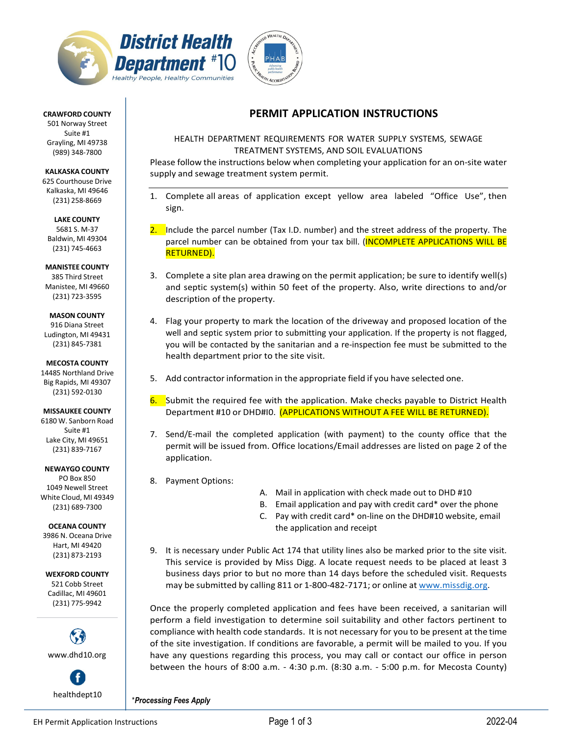



#### **CRAWFORD COUNTY**

501 Norway Street Suite #1 Grayling, MI 49738 (989) 348‐7800

**KALKASKA COUNTY** 625 Courthouse Drive Kalkaska, MI 49646 (231) 258‐8669

**LAKE COUNTY** 5681 S. M‐37 Baldwin, MI 49304 (231) 745‐4663

**MANISTEE COUNTY** 385 Third Street Manistee, MI 49660 (231) 723‐3595

#### **MASON COUNTY**

916 Diana Street Ludington, MI 49431 (231) 845‐7381

**MECOSTA COUNTY** 14485 Northland Drive Big Rapids, MI 49307 (231) 592‐0130

**MISSAUKEE COUNTY** 6180 W. Sanborn Road Suite #1 Lake City, MI 49651 (231) 839‐7167

**NEWAYGO COUNTY**

PO Box 850 1049 Newell Street White Cloud, MI 49349 (231) 689‐7300

#### **OCEANA COUNTY**

3986 N. Oceana Drive Hart, MI 49420 (231) 873‐2193

**WEXFORD COUNTY**

521 Cobb Street Cadillac, MI 49601 (231) 775‐9942



f

## **PERMIT APPLICATION INSTRUCTIONS**

### HEALTH DEPARTMENT REQUIREMENTS FOR WATER SUPPLY SYSTEMS, SEWAGE TREATMENT SYSTEMS, AND SOIL EVALUATIONS

Please follow the instructions below when completing your application for an on‐site water supply and sewage treatment system permit.

- 1. Complete all areas of application except yellow area labeled "Office Use", then sign.
- Include the parcel number (Tax I.D. number) and the street address of the property. The parcel number can be obtained from your tax bill. (INCOMPLETE APPLICATIONS WILL BE RETURNED).
- 3. Complete a site plan area drawing on the permit application; be sure to identify well(s) and septic system(s) within 50 feet of the property. Also, write directions to and/or description of the property.
- 4. Flag your property to mark the location of the driveway and proposed location of the well and septic system prior to submitting your application. If the property is not flagged, you will be contacted by the sanitarian and a re‐inspection fee must be submitted to the health department prior to the site visit.
- 5. Add contractor information in the appropriate field if you have selected one.
- 6. Submit the required fee with the application. Make checks payable to District Health Department #10 or DHD#I0. (APPLICATIONS WITHOUT A FEE WILL BE RETURNED).
- 7. Send/E-mail the completed application (with payment) to the county office that the permit will be issued from. Office locations/Email addresses are listed on page 2 of the application.
- 8. Payment Options:
- A. Mail in application with check made out to DHD #10
- B. Email application and pay with credit card\* over the phone
- C. Pay with credit card\* on-line on the DHD#10 website, email the application and receipt
- 9. It is necessary under Public Act 174 that utility lines also be marked prior to the site visit. This service is provided by Miss Digg. A locate request needs to be placed at least 3 business days prior to but no more than 14 days before the scheduled visit. Requests may be submitted by calling 811 or 1-800-482-7171; or online at [www.missdig.org.](http://www.missdig.org/)

Once the properly completed application and fees have been received, a sanitarian will perform a field investigation to determine soil suitability and other factors pertinent to compliance with health code standards. It is not necessary for you to be present at the time of the site investigation. If conditions are favorable, a permit will be mailed to you. If you have any questions regarding this process, you may call or contact our office in person between the hours of 8:00 a.m. ‐ 4:30 p.m. (8:30 a.m. ‐ 5:00 p.m. for Mecosta County)

healthdept10 \**Processing Fees Apply*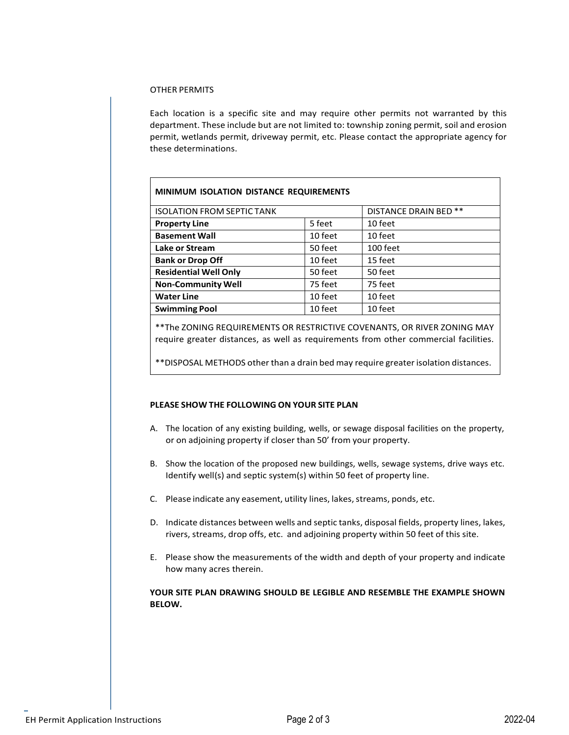#### OTHER PERMITS

 $\overline{1}$ 

Each location is a specific site and may require other permits not warranted by this department. These include but are not limited to: township zoning permit, soil and erosion permit, wetlands permit, driveway permit, etc. Please contact the appropriate agency for these determinations.

| <b>MINIMUM ISOLATION DISTANCE REQUIREMENTS</b> |                       |          |  |  |  |  |  |  |  |  |  |
|------------------------------------------------|-----------------------|----------|--|--|--|--|--|--|--|--|--|
| <b>ISOLATION FROM SEPTIC TANK</b>              | DISTANCE DRAIN BED ** |          |  |  |  |  |  |  |  |  |  |
| <b>Property Line</b>                           | 5 feet                | 10 feet  |  |  |  |  |  |  |  |  |  |
| <b>Basement Wall</b>                           | 10 feet               | 10 feet  |  |  |  |  |  |  |  |  |  |
| Lake or Stream                                 | 50 feet               | 100 feet |  |  |  |  |  |  |  |  |  |
| <b>Bank or Drop Off</b>                        | 10 feet               | 15 feet  |  |  |  |  |  |  |  |  |  |
| <b>Residential Well Only</b>                   | 50 feet               | 50 feet  |  |  |  |  |  |  |  |  |  |
| <b>Non-Community Well</b>                      | 75 feet               | 75 feet  |  |  |  |  |  |  |  |  |  |
| <b>Water Line</b>                              | 10 feet               | 10 feet  |  |  |  |  |  |  |  |  |  |
| <b>Swimming Pool</b>                           | 10 feet               | 10 feet  |  |  |  |  |  |  |  |  |  |

\*\*The ZONING REQUIREMENTS OR RESTRICTIVE COVENANTS, OR RIVER ZONING MAY require greater distances, as well as requirements from other commercial facilities.

\*\*DISPOSAL METHODS other than a drain bed may require greaterisolation distances.

#### **PLEASE SHOW THE FOLLOWING ON YOUR SITE PLAN**

- A. The location of any existing building, wells, or sewage disposal facilities on the property, or on adjoining property if closer than 50' from your property.
- B. Show the location of the proposed new buildings, wells, sewage systems, drive ways etc. Identify well(s) and septic system(s) within 50 feet of property line.
- C. Please indicate any easement, utility lines, lakes, streams, ponds, etc.
- D. Indicate distances between wells and septic tanks, disposal fields, property lines, lakes, rivers, streams, drop offs, etc. and adjoining property within 50 feet of this site.
- E. Please show the measurements of the width and depth of your property and indicate how many acres therein.

#### **YOUR SITE PLAN DRAWING SHOULD BE LEGIBLE AND RESEMBLE THE EXAMPLE SHOWN BELOW.**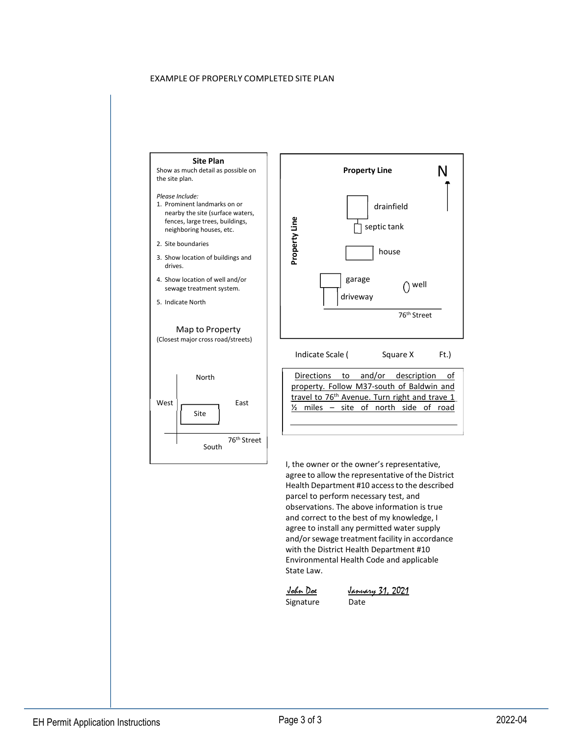#### EXAMPLE OF PROPERLY COMPLETED SITE PLAN

#### **Site Plan**

Show as much detail as possible on the site plan.

#### *Please Include:*

- 1. Prominent landmarks on or nearby the site (surface waters, fences, large trees, buildings, neighboring houses, etc.
- 2. Site boundaries
- 3. Show location of buildings and drives.
- 4. Show location of well and/or sewage treatment system.
- 5. Indicate North

#### Map to Property (Closest major cross road/streets)





I, the owner or the owner's representative, agree to allow the representative of the District Health Department #10 accessto the described parcel to perform necessary test, and observations. The above information is true and correct to the best of my knowledge, I agree to install any permitted water supply and/or sewage treatment facility in accordance with the District Health Department #10 Environmental Health Code and applicable State Law.

 John Doe Signature

January 31, 2021 Date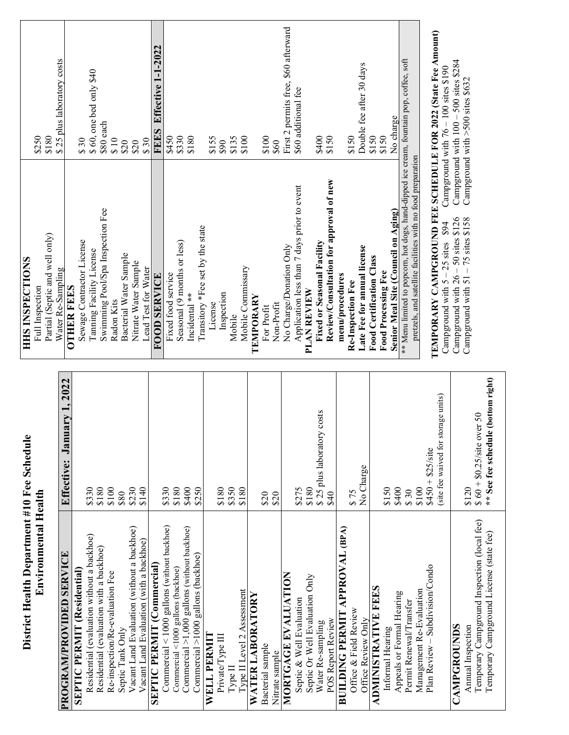| <b>HIES INSPECTIONS</b>                     | \$250<br>Full Inspection | \$180<br>Partial (Septic and well only) | \$25 plus laboratory costs<br>Water Re-Sampling | <b>OTHER FEES</b> | \$30<br>Sewage Contractor License | \$60, one bed only \$40<br>Taming Facility License | $$80$ each<br>Swimming Pool/Spa Inspection Fee | $\frac{810}{5}$<br>Radon Kits   | \$20<br>Bacterial Water Sample | \$20<br>Nitrate Water Sample               | \$30<br>Lead Test for Water             | Effective 1-1-2022<br><b>FEES</b><br><b>FOOD SERVICE</b> | \$450<br>Fixed food service                 | \$330                              | Seasonal (9 months or less)                 | \$180<br>Transitory *Fee set by the state<br>Incidental ** | \$155<br>License | 680              | Inspection | \$135<br>Mobile            | \$100<br>Mobile Commissary | TEMPORARY               | \$100<br>For Profit | \$60<br>Non-Profit | First 2 permits free, \$60 afterward<br>No Charge/Donation Only | \$60 additional fee<br>Application less than 7 days prior to event | PLAN REVIEW                    | \$400<br>Fixed or Seasonal Facility | \$150<br>Review/Consultation for approval of new | menu/procedures                       | \$150<br>Re-Inspection Fee | Double fee after 30 days<br>Late Fee for annual license | \$150<br><b>Food Certification Class</b> | \$150<br><b>Food Processing Fee</b> | No charge<br>Senior Meal Site (Council on Aging) | ** Menu limited to popcorn, hot dogs, hand-dipped ice cream, fountain pop, coffee, soft | pretzels, and satellite facilities with no food preparation |                                 | TEMPORARY CAMPGROUND FEE SCHEDULE FOR 2022 (State Fee Amount)<br>Campground with 76 - 100 sites \$190<br>\$94<br>Campground with $5 - 25$ sites | Campground with $100 - 500$ sites \$284 | Campground with $>500$ sites \$632<br>Campground with $26 - 50$ sites \$126<br>Campground with $51 - 75$ sites \$158 |                                             |                                          |  |
|---------------------------------------------|--------------------------|-----------------------------------------|-------------------------------------------------|-------------------|-----------------------------------|----------------------------------------------------|------------------------------------------------|---------------------------------|--------------------------------|--------------------------------------------|-----------------------------------------|----------------------------------------------------------|---------------------------------------------|------------------------------------|---------------------------------------------|------------------------------------------------------------|------------------|------------------|------------|----------------------------|----------------------------|-------------------------|---------------------|--------------------|-----------------------------------------------------------------|--------------------------------------------------------------------|--------------------------------|-------------------------------------|--------------------------------------------------|---------------------------------------|----------------------------|---------------------------------------------------------|------------------------------------------|-------------------------------------|--------------------------------------------------|-----------------------------------------------------------------------------------------|-------------------------------------------------------------|---------------------------------|-------------------------------------------------------------------------------------------------------------------------------------------------|-----------------------------------------|----------------------------------------------------------------------------------------------------------------------|---------------------------------------------|------------------------------------------|--|
|                                             |                          |                                         | January 1, 2022<br>Effective:                   |                   |                                   | \$330                                              | \$180                                          | \$100                           | \$80                           | \$230                                      | \$140                                   |                                                          | \$330                                       | \$180                              | \$400                                       | \$250                                                      |                  | \$180            | \$350      | \$180                      |                            |                         | \$20                | \$20               |                                                                 | \$275                                                              | \$180                          | \$25 plus laboratory costs          | \$40                                             |                                       | \$75                       | No Charge                                               |                                          | \$150                               | \$400                                            | \$30                                                                                    | \$100                                                       | $$450 + $25$ /site              | storage units)<br>(site fee waived for                                                                                                          |                                         | \$120                                                                                                                | $$60 + $0.25/\text{site over } 50$          | ** See fee schedule (bottom right)       |  |
| District Health Department #10 Fee Schedule | Environmental Health     |                                         | <b>PROGRAM/PROVIDED SERVICE</b>                 |                   | <b>SEPTIC PERMIT (Residential</b> | Residential (evaluation without a backhoe)         | Residential (evaluation with a backhoe)        | Re-inspection/Re-evaluation Fee | Septic Tank Only               | Vacant Land Evaluation (without a backhoe) | Vacant Land Evaluation (with a backhoe) | <b>SEPTIC PERMIT (Commercial)</b>                        | Commercial < 1000 gallons (without backhoe) | Commercial <1000 gallons (backhoe) | Commercial >1,000 gallons (without backhoe) | Commercial >1000 gallons (backhoe)                         | WELL PERMIT      | Private/Type III | Type II    | Type II Level 2 Assessment |                            | <b>WATER LABORATORY</b> | Bacterial sample    | Nitrate sample     | MORTGAGE EVALUATION                                             | Septic & Well Evaluation                                           | Septic Or Well Evaluation Only | Water Re-sampling                   | <b>POS Report Review</b>                         | <b>BUILDING PERMIT APPROVAL (BPA)</b> | Office & Field Review      | Office Review Only                                      | <b>ADMINISTRATIVE FEES</b>               | Informal Hearing                    | Appeals or Formal Hearing                        | Permit Renewal/Transfer                                                                 | Management Re-Evaluation                                    | Plan Review - Subdivision/Condo |                                                                                                                                                 | CAMPGROUNDS                             | Annual Inspection                                                                                                    | Temporary Campground Inspection (local fee) | Temporary Campground License (state fee) |  |